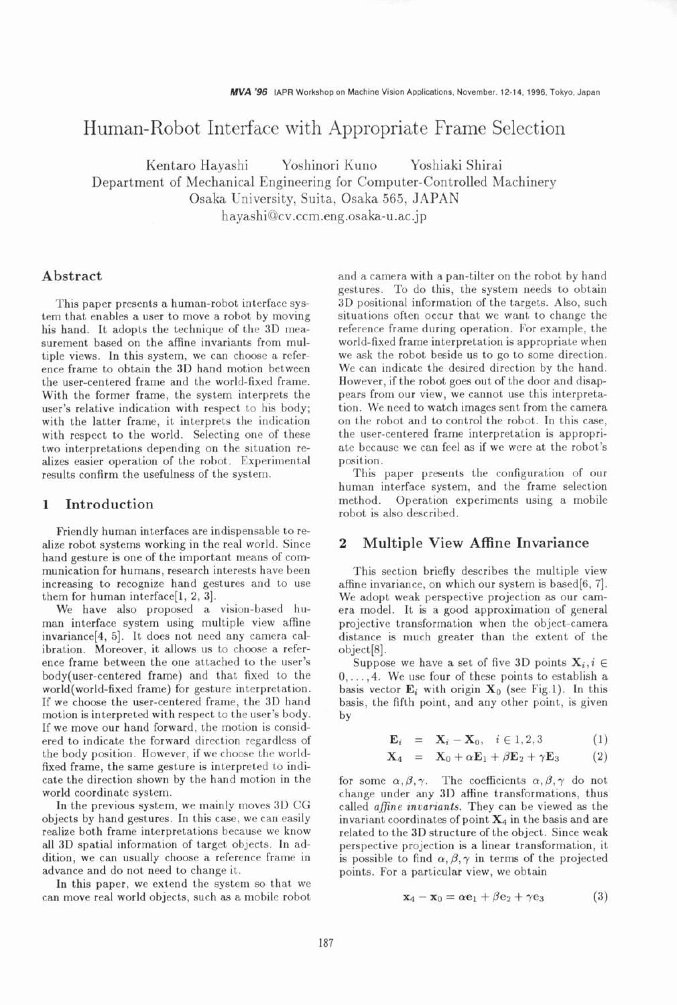# Human-Robot Interface with Appropriate Frame Selection

Kentaro Hayashi Yoshinori Kuno Yoshiaki Shirai Department of Mechanical Engineering for Computer-Controlled Machinery Osaka University, Suita, Osaka 565, JAPAN **hayashi@cv.ccm.eng.osaka-u.ac.jp** 

## **Abstract**

This paper presents a human-robot interface system that enables a user to move a robot by moving his hand. It adopts the technique of the 3D measurement based on the affine invariants from multiple views. In this system, we can choose a reference frame to obtain the 3D hand motion between the user-centered frame and the world-fixed frame. With the former frame, the system interprets the user's relative indication with respect to his body; with the latter frame, it interprets the indication with respect to the world. Selecting one of these two interpretations depending on the situation realizes easier operation of the robot. Experimental results confirm the usefulness of the system.

#### **1 Introduction**

Friendly human interfaces are indispensable to realize robot systems working in the real world. Since hand gesture is one of the important means of communication for humans, research interests have been increasing to recognize hand gestures and to use them for human interface[l, 2, 31.

We have also proposed a vision-based human interface system using multiple view affine invariance[4, 5]. It does not need any camera calibration. Moreover, it allows us to choose a reference frame between the one attached to the user's body(user-centered frame) and that fixed to the world(wor1d-fixed frame) for gesture interpretation. If we choose the user-centered frame, the 3D hand motion is interpreted with respect to the user's body. If we move our hand forward, the motion is considered to indicate the forward direction regardless of the body position. However, if we choose the worldfixed frame, the same gesture is interpreted to indicate the direction shown by the hand motion in the world coordinate system.

In the previous system, we mainly moves 3D CG objects by hand gestures. In this case, we can easily realize both frame interpretations because we know all 3D spatial information of target objects. In addition, we can usually choose a reference frame in advance and do not need to change it.

In this paper, we extend the system so that we can move real world objects, such as a mobile robot and a camera with a pan-tilter on the robot by hand gestures. To do this, the system needs to obtain 3D positional information of the targets. Also, such situations often occur that we want to change the reference frame during operation. For example, the world-fixed frame interpretation is appropriate when we ask the robot beside us to go to some direction. We can indicate the desired direction by the hand. However, if the robot goes out of the door and disappears from our view, we cannot use this interpretation. We need to watch images sent from the camera on the robot and to control the robot. In this case, the user-centered frame interpretation is appropriate because we can feel as if we were at the robot's position.

This paper presents the configuration of our human interface system, and the frame selection method. Operation experiments using a mobile robot is also described.

## **2 Multiple View Affine Invariance**

This section briefly describes the multiple view affine invariance, on which our system is based[6, 71. We adopt weak perspective projection as our camera model. It is a good approximation of general projective transformation when the object-camera distance is much greater than the extent of the object[8].

Suppose we have a set of five 3D points  $X_i, i \in$ 0,. . . **,4.** We use four of these points to establish a basis vector  $\mathbf{E}_i$  with origin  $\mathbf{X}_0$  (see Fig.1). In this basis, the fifth point, and any other point, is given by

$$
\mathbf{E}_i = \mathbf{X}_i - \mathbf{X}_0, \quad i \in 1, 2, 3 \tag{1}
$$

$$
\mathbf{X}_4 = \mathbf{X}_0 + \alpha \mathbf{E}_1 + \beta \mathbf{E}_2 + \gamma \mathbf{E}_3 \tag{2}
$$

for some  $\alpha, \beta, \gamma$ . The coefficients  $\alpha, \beta, \gamma$  do not change under any 3D affine transformations, thus called *afine invariants.* They can be viewed as the invariant coordinates of point  $X_4$  in the basis and are related to the 3D structure of the object. Since weak perspective projection is a linear transformation, it is possible to find  $\alpha, \beta, \gamma$  in terms of the projected points. For a particular view, we obtain

$$
\mathbf{x}_4 - \mathbf{x}_0 = \alpha \mathbf{e}_1 + \beta \mathbf{e}_2 + \gamma \mathbf{e}_3 \tag{3}
$$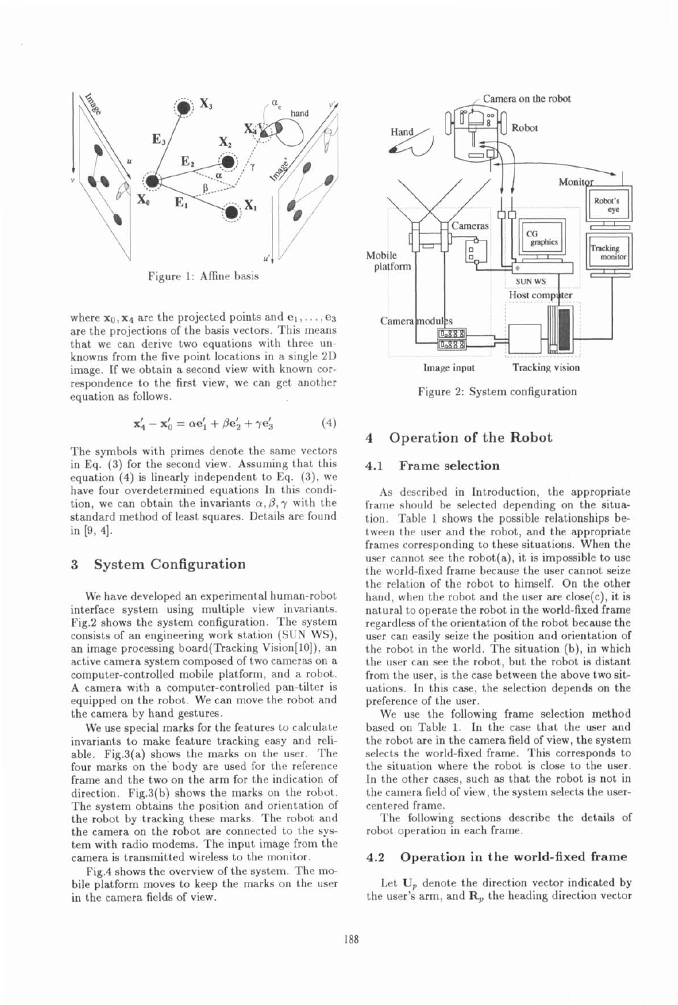

Figure 1: Affine basis

where  $x_0$ ,  $x_4$  are the projected points and  $e_1, \ldots, e_3$ are the projections of the basis vectors. This means that we can derive two equations with three unknowns from the five point locations in a single 2D image. If we obtain a second view with known correspondence to the first view, we can get another equation as follows.

$$
\mathbf{x}_4' - \mathbf{x}_0' = \alpha \mathbf{e}_1' + \beta \mathbf{e}_2' + \gamma \mathbf{e}_3' \tag{4}
$$

The symbols with primes denote the same vectors in Eq. (3) for the second view. Assuming that this equation (4) is linearly independent to Eq. **(3),** we have four overdetermined equations In this condition, we can obtain the invariants  $\alpha, \beta, \gamma$  with the standard method of least squares. Details are found in [9, 4].

## **3 System Configuration**

We have developed an experimental human-robot interface system using multiple view invariants. Fig.2 shows the system configuration. The system consists of an engineering work station (SUN WS), an image processing board(Tracking Vision[lO]), an active camera system composed of two cameras on a computer-controlled mobile platform, and a robot. **A** camera with a computer-controlled pan-tilter is equipped on the robot. We can move the robot and the camera by hand gestures.

We use special marks for the features to calculate invariants to make feature tracking easy and reliable. Fig.3(a) shows the marks on the user. The four marks on the' body are used for the reference frame and the two on the arm for the indication of direction. Fig.S(b) shows the marks on the robot. The system obtains the position and orientation of the robot by tracking these marks. The robot and the camera on the robot are connected to the system with radio modems. The input image from the camera is transmitted wireless to the monitor.

Fig.4 shows the overview of the system. The mobile platform moves to keep the marks on the user in the camera fields of view.



Figure 2: System configuration

## **4 Operation of the Robot**

#### **4.1 Frame selection**

As described in Introduction, the appropriate frame should be selected depending on the situation. Table 1 shows the possible relationships between the user and the robot, and the appropriate frames corresponding to these situations. When the user cannot see the robot $(a)$ , it is impossible to use the world-fixed frame because the user cannot seize the relation of the robot to himself. On the other hand, when the robot and the user are close(c), it is natural to operate the robot in the world-fixed frame regardless of the orientation of the robot because the user can easily seize the position and orientation of the robot in the world. The situation (b), in which the user can see the robot, but the robot is distant from the user, is the case between the above two situations. In this case, the selection depends on the preference of the user.

We use the following frame selection method based on Table 1. In the case that the user and the robot are in the camera field of view, the system selects the world-fixed frame. This corresponds to the situation where the robot is close to the user. In the other cases. such as that the robot is not in the camera field of view, the system selects the usercentered frame.

The following sections describe the details of robot operation in each frame.

#### **4.2 Operation in the world-fixed frame**

Let  $U_p$  denote the direction vector indicated by the user's arm, and  $\mathbf{R}_p$  the heading direction vector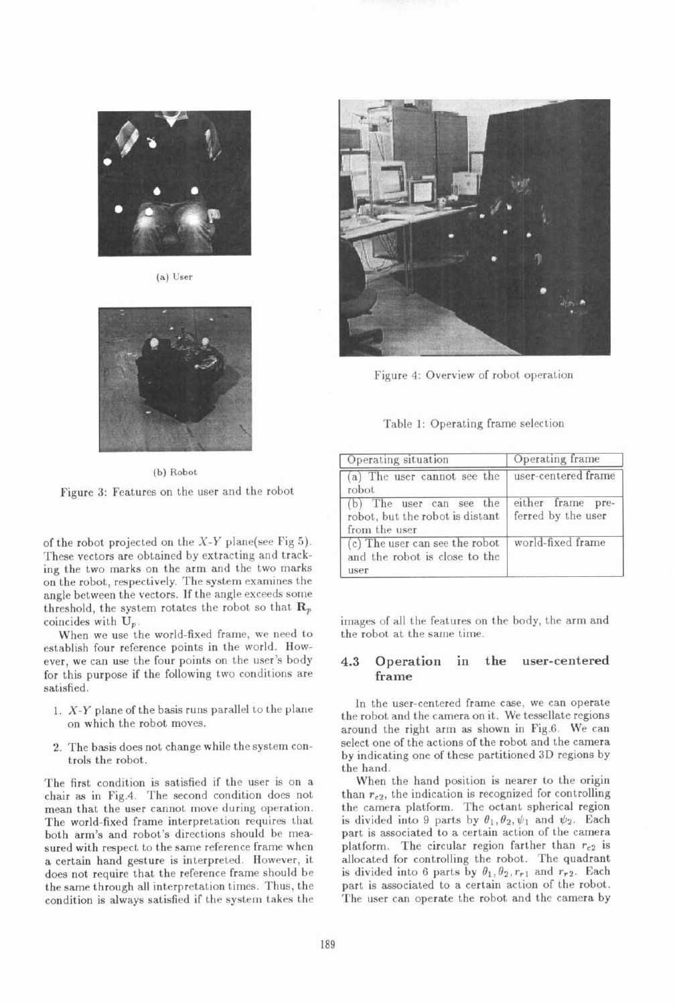

**(a) User** 



**(b) Robot**  Figure **3:** Features on the user and the robot

of the robot projected on the  $X-Y$  plane(see Fig 5). These vectors are obtained by extracting and tracking the two marks on the arm and the two marks on the robot, respectively. The system examines the angle between the vectors. If the angle exceeds some threshold, the system rotates the robot so that  $\mathbf{R}_p$ coincides with **Up.** 

When we use the world-fixed frame, we need to establish four reference points in the world. However, we can use the four points on the user's body for this purpose if the following two conditions are satisfied.

- 1. X-Y plane of the basis runs parallel to the plane on which the robot moves.
- **2.** The basis does not change while the system controls the robot.

The first condition is satisfied if the user is on a chair as in Fig.4. The second condition does not mean that the user cannot move during operation. The world-fixed frame interpretation requires that both arm's and robot's directions should be measured with respect to the same reference frame when a certain hand gesture is interpreted. However, it does not require that the reference frame should be the same through all interpretation times. Thus, the condition is always satisfied if the system takes the



Figure 4: Overview of robot operation

| Table 1: Operating frame selection |  |  |  |
|------------------------------------|--|--|--|
|------------------------------------|--|--|--|

| Operating situation                                                          | Operating frame                         |  |
|------------------------------------------------------------------------------|-----------------------------------------|--|
| (a) The user cannot see the<br>robot.                                        | user-centered frame                     |  |
| (b) The user can see the<br>robot, but the robot is distant<br>from the user | either frame pre-<br>ferred by the user |  |
| (c) The user can see the robot<br>and the robot is close to the<br>user      | world-fixed frame                       |  |

images of all the features on the body, the arm and the robot at the same time.

## **4.3 Operation in the user-centered frame**

In the user-centered frame case, we can operate the robot and the camera on it. We tessellate regions around the right arm as shown in Fig.6. We can select one of the actions of the robot and the camera by indicating one of these partitioned **3D** regions by the hand.

When the hand position is nearer to the origin than  $r_{c2}$ , the indication is recognized for controlling the camera platform. The octant spherical region is divided into 9 parts by  $\theta_1, \theta_2, \psi_1$  and  $\psi_2$ . Each part is associated to a certain action of the camera platform. The circular region farther than  $r_{c2}$  is allocated for controlling the robot. The quadrant is divided into 6 parts by  $\theta_1, \theta_2, r_{r1}$  and  $r_{r2}$ . Each part is associated to a certain action of the robot. The user can operate the robot and the camera by